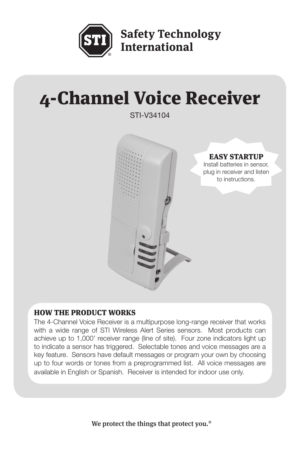

**Safety Technology International** 

# 4-Channel Voice Receiver

STI-V34104



## HOW THE PRODUCT WORKS

The 4-Channel Voice Receiver is a multipurpose long-range receiver that works with a wide range of STI Wireless Alert Series sensors. Most products can achieve up to 1,000' receiver range (line of site). Four zone indicators light up to indicate a sensor has triggered. Selectable tones and voice messages are a key feature. Sensors have default messages or program your own by choosing up to four words or tones from a preprogrammed list. All voice messages are available in English or Spanish. Receiver is intended for indoor use only.

We protect the things that protect you.<sup>®</sup>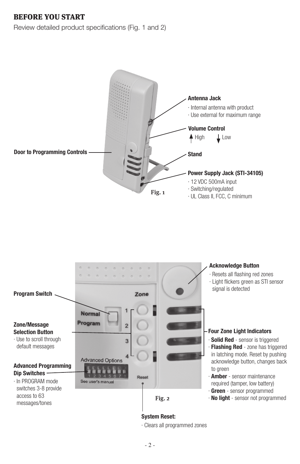## BEFORE YOU START

Review detailed product specifications (Fig. 1 and 2)





· Clears all programmed zones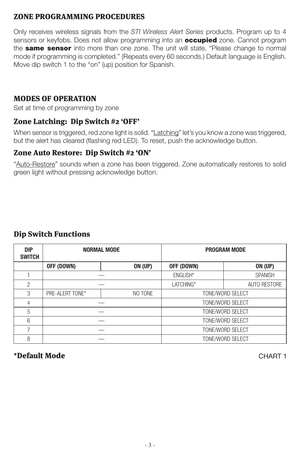#### ZONE PROGRAMMING PROCEDURES

Only receives wireless signals from the *STI Wireless Alert Series* products. Program up to 4 sensors or keyfobs. Does not allow programming into an **occupied** zone. Cannot program the **same sensor** into more than one zone. The unit will state, "Please change to normal mode if programming is completed." (Repeats every 60 seconds.) Default language is English. Move dip switch 1 to the "on" (up) position for Spanish.

## MODES OF OPERATION

Set at time of programming by zone

## Zone Latching: Dip Switch #2 'OFF'

When sensor is triggered, red zone light is solid. "Latching" let's you know a zone was triggered, but the alert has cleared (flashing red LED). To reset, push the acknowledge button.

## Zone Auto Restore: Dip Switch #2 'ON'

"Auto-Restore" sounds when a zone has been triggered. Zone automatically restores to solid green light without pressing acknowledge button.

## Dip Switch Functions

| <b>DIP</b><br><b>SWITCH</b> |                 | <b>NORMAL MODE</b> |                  | <b>PROGRAM MODE</b> |  |
|-----------------------------|-----------------|--------------------|------------------|---------------------|--|
|                             | OFF (DOWN)      | <b>ON (UP)</b>     | OFF (DOWN)       | <b>ON (UP)</b>      |  |
|                             |                 |                    | ENGLISH*         | <b>SPANISH</b>      |  |
| $\overline{2}$              |                 |                    | LATCHING*        | <b>AUTO RESTORE</b> |  |
| 3                           | PRE-ALERT TONE* | NO TONE            | TONE/WORD SELECT |                     |  |
| 4                           |                 |                    | TONE/WORD SELECT |                     |  |
| 5                           |                 |                    |                  | TONE/WORD SELECT    |  |
| 6                           |                 |                    | TONE/WORD SELECT |                     |  |
| 7                           |                 |                    |                  | TONE/WORD SELECT    |  |
| 8                           |                 |                    |                  | TONE/WORD SELECT    |  |

#### \*Default Mode CHART 1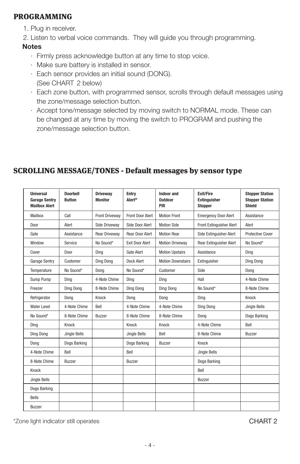#### PROGRAMMING

1. Plug in receiver.

2. Listen to verbal voice commands. They will guide you through programming.

#### **Notes**

- · Firmly press acknowledge button at any time to stop voice.
- · Make sure battery is installed in sensor.
- · Each sensor provides an initial sound (DONG). (See CHART 2 below)
- · Each zone button, with programmed sensor, scrolls through default messages using the zone/message selection button.
- · Accept tone/message selected by moving switch to NORMAL mode. These can be changed at any time by moving the switch to PROGRAM and pushing the zone/message selection button.

| Universal<br><b>Garage Sentry</b><br><b>Mailbox Alert</b> | Doorhell<br><b>Button</b> | <b>Driveway</b><br><b>Monitor</b> | Entry<br>Alert <sup>®</sup> | Indoor and<br>Outdoor<br>PIR | <b>Fxit/Fire</b><br><b>Extinguisher</b><br><b>Stopper</b> | <b>Stopper Station</b><br><b>Stopper Station</b><br>Shield |
|-----------------------------------------------------------|---------------------------|-----------------------------------|-----------------------------|------------------------------|-----------------------------------------------------------|------------------------------------------------------------|
| Mailbox                                                   | Call                      | <b>Front Drivewav</b>             | Front Door Alert            | <b>Motion Front</b>          | <b>Emergency Door Alert</b>                               | Assistance                                                 |
| Door                                                      | Alert                     | Side Drivewav                     | Side Door Alert             | <b>Motion Side</b>           | Front Extinguisher Alert                                  | Alert                                                      |
| Gate                                                      | Assistance                | <b>Rear Driveway</b>              | <b>Rear Door Alert</b>      | <b>Motion Rear</b>           | Side Extinguisher Alert                                   | Protective Cover                                           |
| Window                                                    | Service                   | No Sound*                         | <b>Exit Door Alert</b>      | <b>Motion Driveway</b>       | Rear Extinguisher Alert                                   | No Sound*                                                  |
| Cover                                                     | Door                      | Ding                              | Gate Alert                  | <b>Motion Upstairs</b>       | Assistance                                                | Ding                                                       |
| Garage Sentry                                             | Customer                  | Ding Dong                         | Dock Alert                  | <b>Motion Downstairs</b>     | Extinguisher                                              | Ding Dong                                                  |
| Temperature                                               | No Sound*                 | Dona                              | No Sound*                   | Customer                     | Side                                                      | Dong                                                       |
| Sump Pump                                                 | Dina                      | 4-Note Chime                      | Dina                        | Dina                         | Hall                                                      | 4-Note Chime                                               |
| Freezer                                                   | Dina Dona                 | 8-Note Chime                      | Dina Dona                   | Dina Dona                    | No Sound*                                                 | 8-Note Chime                                               |
| Refrigerator                                              | Dona                      | Knock                             | Dona                        | Dona                         | Dina                                                      | Knock                                                      |
| Water Level                                               | 4-Note Chime              | Bell                              | 4-Note Chime                | 4-Note Chime                 | Ding Dong                                                 | Jingle Bells                                               |
| No Sound*                                                 | 8-Note Chime              | <b>Buzzer</b>                     | 8-Note Chime                | 8-Note Chime                 | Dong                                                      | Dogs Barking                                               |
| Ding                                                      | Knock                     |                                   | Knock                       | Knock                        | 4-Note Chime                                              | Bell                                                       |
| Ding Dong                                                 | Jingle Bells              |                                   | Jingle Bells                | Bell                         | 8-Note Chime                                              | Buzzer                                                     |
| Dong                                                      | Dogs Barking              |                                   | Dogs Barking                | <b>Buzzer</b>                | Knock                                                     |                                                            |
| 4-Note Chime                                              | Bell                      |                                   | Bell                        |                              | Jingle Bells                                              |                                                            |
| 8-Note Chime                                              | Buzzer                    |                                   | Buzzer                      |                              | Dogs Barking                                              |                                                            |
| Knock                                                     |                           |                                   |                             |                              | Bell                                                      |                                                            |
| Jingle Bells                                              |                           |                                   |                             |                              | <b>Buzzer</b>                                             |                                                            |
| Dogs Barking                                              |                           |                                   |                             |                              |                                                           |                                                            |
| <b>Bells</b>                                              |                           |                                   |                             |                              |                                                           |                                                            |
| <b>Buzzer</b>                                             |                           |                                   |                             |                              |                                                           |                                                            |

## SCROLLING MESSAGE/TONES - Default messages by sensor type

\*Zone light indicator still operates CHART 2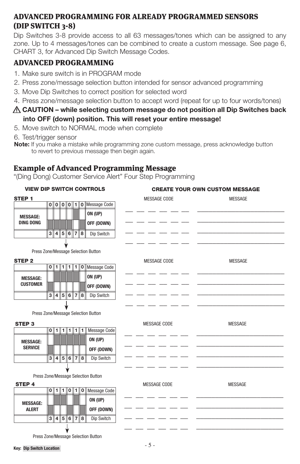## ADVANCED PROGRAMMING FOR ALREADY PROGRAMMED SENSORS (DIP SWITCH 3-8)

Dip Switches 3-8 provide access to all 63 messages/tones which can be assigned to any zone. Up to 4 messages/tones can be combined to create a custom message. See page 6, CHART 3, for Advanced Dip Switch Message Codes.

## ADVANCED PROGRAMMING

- 1. Make sure switch is in PROGRAM mode
- 2. Press zone/message selection button intended for sensor advanced programming
- 3. Move Dip Switches to correct position for selected word
- 4. Press zone/message selection button to accept word (repeat for up to four words/tones)
- **CAUTION while selecting custom message do not position all Dip Switches back into OFF (down) position. This will reset your entire message!**
- 5. Move switch to NORMAL mode when complete
- 6. Test/trigger sensor
- **Note:** If you make a mistake while programming zone custom message, press acknowledge button to revert to previous message then begin again.

#### Example of Advanced Programming Message

"(Ding Dong) Customer Service Alert" Four Step Programming

| <b>VIEW DIP SWITCH CONTROLS</b> |                |         |  |  |             |                     |                                                                          | <b>CREATE YOUR OWN CUSTOM MESSAGE</b> |                                |                |  |
|---------------------------------|----------------|---------|--|--|-------------|---------------------|--------------------------------------------------------------------------|---------------------------------------|--------------------------------|----------------|--|
| STEP <sub>1</sub>               |                |         |  |  |             |                     |                                                                          |                                       | MESSAGE CODE<br><b>MESSAGE</b> |                |  |
|                                 |                |         |  |  |             |                     | $\boxed{0}$ $\boxed{0}$ $\boxed{0}$ $\boxed{1}$ $\boxed{0}$ Message Code |                                       |                                |                |  |
| <b>MESSAGE:</b>                 |                |         |  |  |             |                     | ON (UP)                                                                  |                                       |                                |                |  |
| <b>DING DONG</b>                |                |         |  |  |             |                     | OFF (DOWN)                                                               |                                       |                                |                |  |
|                                 |                |         |  |  | 3 4 5 6 7 8 |                     | Dip Switch                                                               |                                       |                                |                |  |
|                                 |                |         |  |  |             |                     |                                                                          |                                       |                                |                |  |
|                                 |                |         |  |  |             |                     | Press Zone/Message Selection Button                                      |                                       |                                |                |  |
| STEP <sub>2</sub>               |                |         |  |  |             |                     |                                                                          |                                       | MESSAGE CODE                   | <b>MESSAGE</b> |  |
|                                 |                |         |  |  |             |                     | 0   1   1   1   1   0   Message Code                                     |                                       |                                |                |  |
| <b>MESSAGE:</b>                 |                |         |  |  |             |                     | ON (UP)                                                                  |                                       |                                |                |  |
| <b>CUSTOMER</b>                 |                |         |  |  |             |                     | OFF (DOWN)                                                               |                                       |                                |                |  |
|                                 |                |         |  |  |             | 3 4 5 6 7 8         | Dip Switch                                                               |                                       |                                |                |  |
|                                 |                |         |  |  |             |                     |                                                                          |                                       |                                |                |  |
|                                 |                |         |  |  |             |                     | Press Zone/Message Selection Button                                      |                                       |                                |                |  |
| <b>STEP3</b>                    |                |         |  |  |             |                     |                                                                          |                                       | MESSAGE CODE                   | <b>MESSAGE</b> |  |
|                                 |                | 0  1  1 |  |  | 111         | 1                   | <b>Message Code</b>                                                      |                                       |                                |                |  |
| <b>MESSAGE:</b>                 |                |         |  |  |             |                     | ON (UP)                                                                  |                                       |                                |                |  |
| <b>SERVICE</b>                  |                |         |  |  |             |                     | OFF (DOWN)                                                               |                                       |                                |                |  |
|                                 |                |         |  |  |             | 3 4 5 6 7 8         | Dip Switch                                                               |                                       |                                |                |  |
|                                 |                |         |  |  |             |                     |                                                                          |                                       |                                |                |  |
|                                 |                |         |  |  |             |                     | Press Zone/Message Selection Button                                      |                                       |                                |                |  |
| <b>STEP 4</b>                   |                |         |  |  |             |                     |                                                                          |                                       | MESSAGE CODE                   | <b>MESSAGE</b> |  |
|                                 |                |         |  |  |             | $0$   1  1  0  1  0 | <b>Message Code</b>                                                      |                                       |                                |                |  |
| <b>MESSAGE:</b>                 |                |         |  |  |             |                     | ON (UP)                                                                  |                                       |                                |                |  |
| <b>ALERT</b>                    |                |         |  |  |             |                     | OFF (DOWN)                                                               |                                       |                                |                |  |
|                                 | $\overline{3}$ |         |  |  | 4 5 6 7     | 8                   | Dip Switch                                                               |                                       |                                |                |  |
|                                 |                |         |  |  |             |                     |                                                                          |                                       |                                |                |  |
|                                 |                |         |  |  |             |                     | Press Zone/Message Selection Button                                      |                                       |                                |                |  |

**Key: Dip Switch Location**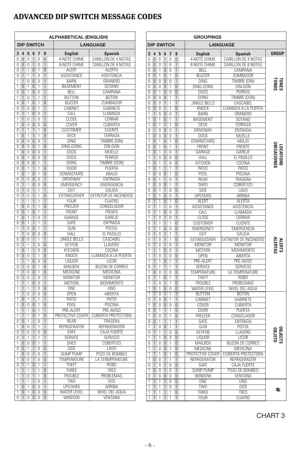## ADVANCED DIP SWITCH MESSAGE CODES

|                                      | ALPHABETICAL (ENGLISH) |                     |                                  |                     |                                |                                    |                                         |  |  |
|--------------------------------------|------------------------|---------------------|----------------------------------|---------------------|--------------------------------|------------------------------------|-----------------------------------------|--|--|
| <b>DIP SWITCH</b><br><b>LANGUAGE</b> |                        |                     |                                  |                     |                                |                                    |                                         |  |  |
| 3                                    | 4                      | 5                   | 6                                | 7                   | 8                              | <b>English</b>                     | <b>Spanish</b>                          |  |  |
| 0                                    | 0                      | Λ                   | 1                                | 0                   | 0                              | 4-NOTE CHIME                       | CARILLON DE 4 NOTAS                     |  |  |
| $\overline{0}$                       | n                      | $\overline{0}$      | 1                                | $\overline{0}$      | 1                              | 8-NOTE CHIME                       | CARILLON DE 8 NOTAS                     |  |  |
| ō                                    | 1                      | 1                   | 0                                | 1                   | 0                              | <b>ALERT</b>                       | <b>ALERTA</b>                           |  |  |
| 0<br>1                               | 1                      | 1<br>Ò              | 1                                | 0<br>n              | 1<br>1                         | <b>ASSISTANCE</b>                  | <b>ASISTENCIA</b>                       |  |  |
| 1                                    | 1<br>0                 | 1                   | 0<br>$\overline{0}$              | 1                   | 1                              | BARN<br><b>BASEMENT</b>            | <b>GRANERO</b><br><b>SOTANO</b>         |  |  |
| 0                                    | n                      | 1                   | 0                                | 0                   | 1                              | BELL                               | CAMPANA                                 |  |  |
| ī                                    | 1                      | Ō                   | 1                                | ī                   | 1                              | <b>BUTTON</b>                      | <b>BOTON</b>                            |  |  |
| 0                                    | 0                      | 1                   | 0                                | 1                   | $\overline{0}$                 | <b>BUZZER</b>                      | ZUMBADOR                                |  |  |
| 0                                    | 1                      | 0                   | 0                                | 1                   | 1                              | CABINET                            | GABINETE                                |  |  |
| 0                                    | 1                      | 1                   | $\overline{0}$                   | Ō                   | 1                              | CALL                               | I I AMADA                               |  |  |
| ī                                    | 1                      | $\overline{0}$      | 1                                | $\overline{0}$      | 1                              | CLOSE                              | CFRRAR                                  |  |  |
| ī<br>ō                               | Ō                      | $\overline{0}$<br>1 | $\overline{0}$                   | $\overline{0}$<br>1 | Ō<br>$\overline{\Pi}$          | <b>COVER</b><br><b>CUSTOMER</b>    | <b>CUBIERTA</b><br><b>CLIENTE</b>       |  |  |
| 1                                    | 0                      | 1                   |                                  | 1                   | 0                              | DECK                               | TERRAZA                                 |  |  |
| ō                                    | 0                      | ō                   | 1<br>$\overline{0}$              | ō                   | 1                              | <b>DING</b>                        | TIMBRE (DIN)                            |  |  |
| $\overline{0}$                       | $\overline{0}$         | $\overline{0}$      | $\overline{0}$                   | 1                   | $\overline{0}$                 | DING-DONG                          | DIN-DON                                 |  |  |
| 1                                    | 0                      | 0                   | 0                                | 0                   | 1                              | <b>DOCK</b>                        | MUELLE                                  |  |  |
| $\overline{0}$                       | $\overline{0}$         | 1                   | $\overline{0}$                   | $\overline{0}$      | $\overline{0}$                 | <b>DOGS</b>                        | <b>PFRROS</b>                           |  |  |
| 0                                    | 0                      | 0                   | 0                                | 1                   | 1                              | <b>DONG</b>                        | TIMBRE (DON)                            |  |  |
| $\overline{0}$                       | $\overline{0}$         | 1                   | 1                                | 1                   | $\overline{0}$                 | <b>DOOR</b>                        | PUFRTA                                  |  |  |
| 1                                    | $\overline{0}$         | 1                   | $\overline{0}$                   | 1                   | $\overline{0}$                 | <b>DOWNSTAIRS</b>                  | ABAJ0                                   |  |  |
| $\overline{0}$                       | 1                      | $\overline{0}$      | $\overline{0}$                   | $\overline{0}$      | 1                              | <b>DRIVEWAY</b>                    | ENTRADA                                 |  |  |
| $\overline{0}$                       | 1                      | 1                   | $\overline{0}$                   | $\overline{0}$      | 0                              | <b>EMERGENCY</b>                   | EMERGENCIA                              |  |  |
| $\overline{0}$<br>$\overline{0}$     | 1<br>1                 | $\overline{0}$<br>Ō | $\overline{1}$<br>1              | 1<br>1              | $\mathbf{1}$<br>$\overline{0}$ | <b>FXIT</b><br><b>EXTINGUISHER</b> | SALIDA<br>EXTINTOR DE INCENDIOS         |  |  |
| ī                                    | 1                      | 1                   | 1                                | 1                   | 1                              | <b>FOUR</b>                        | <b>CUATRO</b>                           |  |  |
| ī                                    | 0                      | 0                   | 1                                | 1                   | 0                              | FREEZER                            | CONGELADOR                              |  |  |
| $\overline{0}$                       | $\overline{0}$         | 1                   | $\overline{0}$                   | 1                   | 1                              | FRONT                              | <b>FRENTE</b>                           |  |  |
| 1                                    | 0                      | 1                   | 1                                | 0                   | 1                              | GARAGE                             | GAREJE                                  |  |  |
| $\overline{0}$                       | $\overline{0}$         | 1                   | 1                                | 1                   | 1                              | GATE                               | <b>ENTRADA</b>                          |  |  |
| 1                                    | 1                      | 0                   | 0                                | 1                   | 1                              | GUN                                | <b>PISTOL</b>                           |  |  |
| ī                                    | 1                      | $\overline{0}$      | $\overline{0}$                   | $\overline{0}$      | $\overline{0}$                 | <b>HALL</b>                        | EL PASILLO                              |  |  |
| 0                                    | 0                      | Ō                   | 1                                | 1                   | 1                              | <b>JINGLE BELLS</b>                | CASCABEL                                |  |  |
| $\overline{0}$                       | 1                      | 1                   | 1                                | $\overline{0}$      | $\overline{0}$                 | <b>KFYFOB</b>                      | <b>LLAVERO</b>                          |  |  |
| 1<br>ō                               | Ō                      | 1<br>ō              | 1<br>1                           | Ō                   | 0                              | KITCHEN<br>KNOCK                   | COCINA<br>LLAMADA A LA PUERTA           |  |  |
| 1                                    | 0<br>1                 | 1                   | $\overline{0}$                   | 1<br>$\overline{0}$ | 0<br>$\overline{0}$            | <b>LIQUOR</b>                      | LICOR                                   |  |  |
| ō                                    | 1                      | 0                   | $\overline{0}$                   | 1                   | 0                              | <b>MAILBOX</b>                     | <b>BUZON DE CORREO</b>                  |  |  |
| 1                                    | 1                      | $\overline{0}$      | $\overline{0}$                   | 1                   | $\overline{0}$                 | MEDICINE                           | MEDICINA                                |  |  |
| 0                                    | 1                      | $\overline{0}$      | 1                                | 0                   | 1                              | <b>MONITOR</b>                     | <b>MONITOR</b>                          |  |  |
| 1                                    | 1                      | 1                   | $\overline{0}$                   | 0                   | 1                              | <b>MOTION</b>                      | <b>MOVIMIENTO</b>                       |  |  |
| 1                                    | 1                      | ī                   | 1                                | $\overline{0}$      | $\overline{0}$                 | ONE                                | UNO                                     |  |  |
| 1                                    | 1                      | 0                   | 1                                | 0                   | 0                              | <b>OPEN</b>                        | ABIERTA                                 |  |  |
| 1                                    | 0                      | 1                   | 1                                | 1                   | 1                              | PATIO                              | PATIO                                   |  |  |
| 1                                    | 0                      | 0                   | 0                                | 1                   | 0                              | <b>POOL</b>                        | PISCINA                                 |  |  |
| ī<br>ī                               | 1<br>1                 | 1<br>1              | $\overline{0}$<br>$\overline{0}$ | 1<br>1              | 1<br>0                         | PRE-ALERT<br>PROTECTIVE COVER      | PRE-AVISO<br><b>CUBIERTA PROTECTORA</b> |  |  |
| ō                                    | 0                      | 1                   | 1                                | $\overline{0}$      | 1                              | <b>REAR</b>                        | TRASERA                                 |  |  |
| 1                                    | 0                      | 0                   | 1                                | 1                   | 1                              | REFRIGERATOR                       | REFRIGERADOR                            |  |  |
| ō                                    | 1                      | 0                   | 1                                | 0                   | 0                              | SAFE                               | <b>CAJA FUERTE</b>                      |  |  |
| ī                                    | 1                      | 1                   | 1                                | 1                   | 1                              | <b>SERVICE</b>                     | <b>SERVICIO</b>                         |  |  |
| 1                                    | 0                      | Ō                   | $\overline{0}$                   | ī                   | 1                              | SHED                               | COBERTIZO                               |  |  |
| 0                                    | 0                      | 1                   | 1                                | ō                   | 0                              | SIDE                               | LAD <sub>0</sub>                        |  |  |
| 1                                    | 0                      | 0                   | 1                                | 0                   | 1                              | <b>SUMP PUMP</b>                   | POZO DE BOMBEO                          |  |  |
| 1                                    | 0                      | 0                   | 1                                | 0                   | 0                              | TEMPERATURE                        | LA TERMPERATURE                         |  |  |
| ō                                    | 1                      | 1                   | $\overline{0}$                   | 1                   | 1                              | THEFT                              | ROBO                                    |  |  |
| 1<br>ī                               | 1<br>1                 | 1<br>Ō              | 1<br>1                           | 1<br>1              | 0<br>$\overline{0}$            | THREE<br>TROUBLE                   | TRES<br>PROBLEMAS                       |  |  |
| 1                                    | 1                      | 1                   | 1                                | 0                   | 1                              | TW0                                | DOS                                     |  |  |
| 1                                    | n                      | 1                   | $\overline{0}$                   | ſ                   | 1                              | <b>UPSTAIRS</b>                    | ARRIBA                                  |  |  |
| 1                                    | O                      | 1                   | $\overline{0}$                   | Ō                   | $\overline{0}$                 | <b>WATER LEVEL</b>                 | NIVEL DEL AQUA                          |  |  |
| ō                                    | 1                      | ō                   | 0                                | ō                   | 0                              | <b>WINDOW</b>                      | <b>VENTANA</b>                          |  |  |

|                     | <b>GROUPINGS</b>    |                     |                     |                     |                                  |  |                              |                                   |                                 |  |
|---------------------|---------------------|---------------------|---------------------|---------------------|----------------------------------|--|------------------------------|-----------------------------------|---------------------------------|--|
| <b>DIP SWITCH</b>   | <b>LANGUAGE</b>     |                     |                     |                     |                                  |  |                              |                                   |                                 |  |
| 3                   | 4                   | 5                   | 6                   | $\overline{1}$      | 8                                |  | <b>English</b>               | <b>Spanish</b>                    | <b>GROUP</b>                    |  |
| 0                   | 0                   | 0                   | 1                   | 0                   | 0                                |  | 4-NOTE CHIME                 | CARILLON DE 4 NOTAS               |                                 |  |
| 0                   | 0                   | 0                   | 1                   | 0                   | 1                                |  | 8-NOTE CHIME                 | CARILLON DE 8 NOTAS               |                                 |  |
| 0<br>$\overline{0}$ | 0<br>$\overline{0}$ | 1<br>1              | 0<br>$\overline{0}$ | 0<br>1              | 1<br>$\overline{0}$              |  | BELL<br><b>BUZZER</b>        | CAMPANA<br>ZUMBADOR               |                                 |  |
| $\overline{0}$      | $\overline{0}$      | $\overline{0}$      | $\overline{0}$      | $\overline{0}$      | 1                                |  | <b>DING</b>                  | <b>TIMBRE (DIN)</b>               |                                 |  |
| ō                   | $\overline{0}$      | n                   | Ō                   | 1                   | Ō                                |  | DING-DONG                    | DIN-DON                           | <b>LONES</b><br>30NO.           |  |
| 0                   | 0                   | 1                   | $\overline{0}$      | Ō                   | $\overline{0}$                   |  | <b>DOGS</b>                  | <b>PERROS</b>                     |                                 |  |
| 0                   | 0                   | 0                   | Ō                   | 1                   | 1                                |  | <b>DONG</b>                  | TIMBRE (DON)                      |                                 |  |
| $\overline{0}$      | Ō                   | $\overline{0}$      | 1                   | 1                   | 1                                |  | <b>JINGLE BELLS</b>          | CASCABEL                          |                                 |  |
| 0                   | 0                   | 0                   | 1                   | 1                   | 0                                |  | KNOCK                        | LLAMADA A LA PUERTA               |                                 |  |
| 1                   | 1                   | $\overline{0}$      | $\overline{0}$      | $\overline{0}$      | 1                                |  | <b>BARN</b>                  | <b>GRANERO</b>                    |                                 |  |
| 1<br>1              | 0<br>$\overline{0}$ | 1<br>1              | 0<br>1              | 1<br>1              | 1<br>$\overline{0}$              |  | <b>BASEMENT</b><br>DECK      | <b>SOTANO</b><br>TERRAZA          |                                 |  |
| 0                   | 1                   | 0                   | $\overline{0}$      | 0                   | 1                                |  | <b>DRIVEWAY</b>              | <b>ENTRADA</b>                    |                                 |  |
| 1                   | Ō                   | ō                   | $\overline{0}$      | ō                   | 1                                |  | <b>DOCK</b>                  | MUELLE                            |                                 |  |
| 1                   | $\overline{0}$      | 1                   | $\overline{0}$      | ī                   | $\overline{0}$                   |  | <b>DOWNSTAIRS</b>            | ABAJ0                             |                                 |  |
| 0                   | 0                   | 1                   | 0                   | 1                   | 1                                |  | FRONT                        | <b>FRENTE</b>                     |                                 |  |
| 1                   | 0                   | 1                   | 1                   | 0                   | 1                                |  | GARAGE                       | GAREJE                            |                                 |  |
| 1                   | 1                   | 0                   | $\overline{0}$      | 0                   | 0                                |  | <b>HALL</b>                  | EL PASILLO                        | <b>JBICACIONES</b><br>LOCATIONS |  |
| 1                   | $\overline{0}$      | ī                   | $\overline{1}$      | $\overline{0}$      | $\overline{0}$                   |  | KITCHEN                      | COCINA                            |                                 |  |
| 1                   | $\overline{0}$      | 1                   | 1                   | 1                   | 1                                |  | <b>PATIO</b>                 | PATIO                             |                                 |  |
| 1                   | $\overline{0}$      | Ō                   | $\overline{0}$      | 1                   | Ō                                |  | P <sub>00</sub>              | PISCINA                           |                                 |  |
| 0                   | 0                   | 1                   | 1                   | 0                   | 1                                |  | REAR                         | TRASERA                           |                                 |  |
| 1                   | $\overline{0}$      | $\overline{0}$      | $\overline{0}$      | 1                   | 1                                |  | <b>SHED</b>                  | COBERTIZO                         |                                 |  |
| $\overline{0}$<br>1 | $\overline{0}$<br>0 | 1<br>1              | 1<br>Ō              | Ō<br>Ō              | $\overline{0}$<br>1              |  | SIDE<br><b>UPSTAIRS</b>      | LAD <sub>0</sub><br><b>ARRIBA</b> |                                 |  |
| ō                   | 1                   | 1                   | $\overline{0}$      | 1                   | $\overline{0}$                   |  | <b>ALERT</b>                 | ALERTA                            |                                 |  |
| $\overline{0}$      | 1                   | 1                   | 1                   | 0                   | 1                                |  | <b>ASSISTANCE</b>            | ASISTENCIA                        |                                 |  |
| 0                   | 1                   | 1                   | 0                   | 0                   | 1                                |  | CALL                         | LLAMADA                           |                                 |  |
| 1                   | $\overline{1}$      | 0                   | $\overline{1}$      | Ō                   | 1                                |  | <b>CLOSE</b>                 | <b>CERRAR</b>                     |                                 |  |
| ō                   | 1                   | 1                   | 1                   | 1                   | $\overline{0}$                   |  | <b>CUSTOMER</b>              | <b>CLIENTE</b>                    |                                 |  |
| 0                   | 1                   | 1                   | 0                   | 0                   | 0                                |  | EMERGENCY                    | EMERGENCIA                        |                                 |  |
| $\overline{0}$      | $\overline{1}$      | $\overline{0}$      | 1                   | 1                   | 1                                |  | EXIT                         | SALIDA                            |                                 |  |
| $\overline{0}$      | $\overline{1}$      | $\overline{0}$      | 1                   | 1                   | $\overline{0}$                   |  | <b>EXTINGUISHER</b>          | EXTINTOR DE INCENDIOS             | <b>ALERTS</b>                   |  |
| ō                   | 1                   | ō                   | $\overline{1}$      | $\overline{0}$      | 1                                |  | <b>MONITOR</b>               | <b>MONITOR</b>                    | <b>LERTA!</b>                   |  |
| 1                   | 1<br>1              | 1<br>n              | Ō<br>1              | 0<br>0              | 1<br>0                           |  | <b>MOTION</b><br><b>OPEN</b> | <b>MOVIMIENTO</b><br>ABIERTA      |                                 |  |
| 1<br>1              | 1                   | 1                   | 0                   | 1                   | 1                                |  | PRE-ALERT                    | PRE-AVISO                         |                                 |  |
| ō                   | 1                   | 1                   | 1                   | 1                   | 1                                |  | <b>SERVICE</b>               | <b>SERVICIO</b>                   |                                 |  |
| 1                   | 0                   | 0                   | 1                   | 0                   | 0                                |  | TEMPERATURE                  | LA TEMPERATURE                    |                                 |  |
| Ō                   | 1                   | 1                   | $\overline{0}$      | 1                   | 1                                |  | THEFT                        | R <sub>O</sub> B <sub>O</sub>     |                                 |  |
| 1                   | 1                   | 0                   | 1                   | 1                   | 0                                |  | TROUBLE                      | PROBLEMAS                         |                                 |  |
| 1                   | $\overline{0}$      | 1                   | $\overline{0}$      | $\overline{0}$      | $\overline{0}$                   |  | <b>WATER LEVEL</b>           | NIVEL DEL AQUA                    |                                 |  |
| ī                   | $\overline{1}$      | 0                   | $\overline{1}$      | ī                   | 1                                |  | <b>BUTTON</b>                | <b>BOTON</b>                      |                                 |  |
| 0                   | 1                   | 0                   | $\overline{0}$      | 1                   | 1                                |  | <b>CABINET</b>               | <b>GABINETE</b>                   |                                 |  |
| 1                   | $\overline{0}$      | n                   | $\overline{0}$      | $\overline{0}$      | $\overline{0}$                   |  | <b>COVER</b>                 | <b>CUBIERTA</b>                   |                                 |  |
| 0<br>ī              | 0<br>Ō              | 1<br>$\overline{0}$ | 1<br>1              | 1<br>1              | 0<br>0                           |  | DOOR<br>FREEZER              | PUERTA<br>CONGELADOR              |                                 |  |
| 0                   | 0                   | 1                   | 1                   | 1                   | 1                                |  | GATE                         | ENTRADA                           |                                 |  |
| 1                   | $\overline{1}$      | $\overline{0}$      | $\overline{0}$      | 1                   | ī                                |  | GUN                          | PISTOL                            |                                 |  |
| 0                   | 1                   | 1                   | 1                   | 0                   | 0                                |  | <b>KEYFOB</b>                | <b>LLAVERO</b>                    | ORLECTS<br>OBJECTS              |  |
| 1                   | 1                   | 1                   | $\overline{0}$      | Ō                   | $\overline{0}$                   |  | <b>LIQUOR</b>                | LICOR                             |                                 |  |
| 0                   | 1                   | 0                   | 0                   | 1                   | 0                                |  | MAILBOX                      | <b>BUZON DE CORREO</b>            |                                 |  |
| 1                   | 1                   | 0                   | $\overline{0}$      | 1                   | $\overline{0}$                   |  | MEDICINE                     | MEDICINA                          |                                 |  |
| 1                   | 1                   | 1                   | 0                   | 1                   | $\overline{0}$                   |  | PROTECTIVE COVER             | <b>CUBIERTA PROTECTORA</b>        |                                 |  |
| 1                   | 0                   | 0                   | 1                   | 1                   | 1                                |  | REFRIGERATOR                 | REFRIGERADOR                      |                                 |  |
| 0                   | $\overline{1}$      | 0                   | 1                   | 0                   | 0                                |  | SAFE                         | <b>CAJA FUERTE</b>                |                                 |  |
| 1                   | 0                   | 0                   | 1                   | 0                   | 1                                |  | <b>SUMP PUMP</b>             | POZO DE BOMBEO                    |                                 |  |
| Ō                   | 1                   | $\overline{0}$      | $\overline{0}$      | $\overline{0}$<br>ō | $\overline{0}$<br>$\overline{0}$ |  | <b>WINDOW</b><br>ONE         | VENTANA<br><b>UNO</b>             |                                 |  |
| 1<br>1              | 1<br>1              | 1<br>1              | 1<br>1              | $\overline{0}$      | 1                                |  | TW <sub>0</sub>              | <b>DOS</b>                        |                                 |  |
| 1                   | 1                   | 1                   | 1                   | 1                   | 0                                |  | THREE                        | TRES                              | ŧ                               |  |
| 1                   | 1                   | 1                   | 1                   | 1                   | 1                                |  | <b>FOUR</b>                  | <b>CUATRO</b>                     |                                 |  |

CHART 3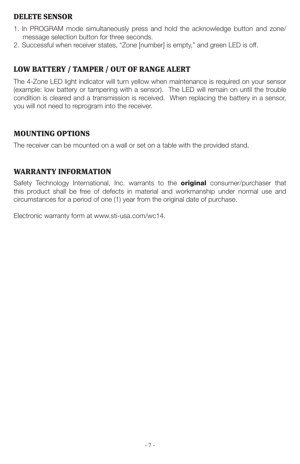#### DELETE SENSOR

- 1. In PROGRAM mode simultaneously press and hold the acknowledge button and zone/ message selection button for three seconds.
- 2. Successful when receiver states, "Zone [number] is empty," and green LED is off.

## LOW BATTERY / TAMPER / OUT OF RANGE ALERT

The 4-Zone LED light indicator will turn yellow when maintenance is required on your sensor (example: low battery or tampering with a sensor). The LED will remain on until the trouble condition is cleared and a transmission is received. When replacing the battery in a sensor, you will not need to reprogram into the receiver.

#### MOUNTING OPTIONS

The receiver can be mounted on a wall or set on a table with the provided stand.

#### WARRANTY INFORMATION

Safety Technology International, Inc. warrants to the **original** consumer/purchaser that this product shall be free of defects in material and workmanship under normal use and circumstances for a period of one (1) year from the original date of purchase.

Electronic warranty form at www.sti-usa.com/wc14.